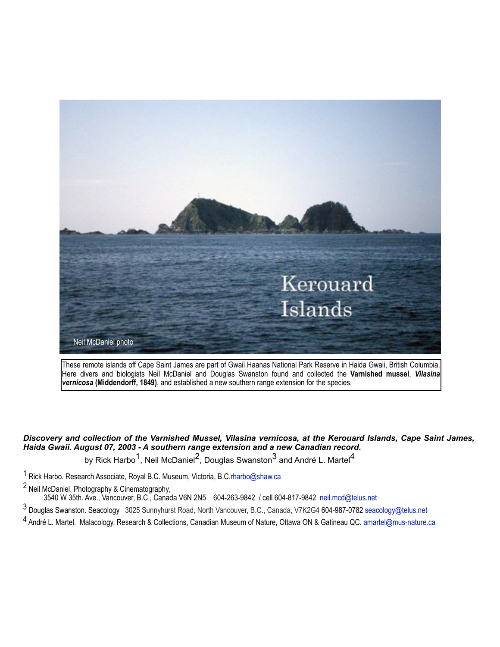

These remote islands off Cape Saint James are part of Gwaii Haanas National Park Reserve in Haida Gwaii, British Columbia. Here divers and biologists Neil McDaniel and Douglas Swanston found and collected the **Varnished mussel**, *Vilasina vernicosa* **(Middendorff, 1849)**, and established a new southern range extension for the species.

*Discovery and collection of the Varnished Mussel, Vilasina vernicosa, at the Kerouard Islands, Cape Saint James, Haida Gwaii. August 07, 2003 - A southern range extension and a new Canadian record.*

by Rick Harbo<sup>1</sup>, Neil McDaniel<sup>2</sup>, Douglas Swanston<sup>3</sup> and André L. Martel<sup>4</sup>

1 Rick Harbo. Research Associate, Royal B.C. Museum, Victoria, B.C.[rharbo@shaw.ca](mailto:rharbo@shaw.ca)

<sup>2</sup> Neil McDaniel. Photography & Cinematography,

3540 W 35th. Ave., Vancouver, B.C., Canada V6N 2N5 604-263-9842 / cell 604-817-9842 neil.mcd@telus.net

3 Douglas Swanston. Seacology 3025 Sunnyhurst Road, North Vancouver, B.C., Canada, V7K2G4 604-987-0782 seacology@telus.net

4 André L. Martel. Malacology, Research & Collections, Canadian Museum of Nature, Ottawa ON & Gatineau QC. [amartel@mus-nature.ca](mailto:amartel@mus-nature.ca)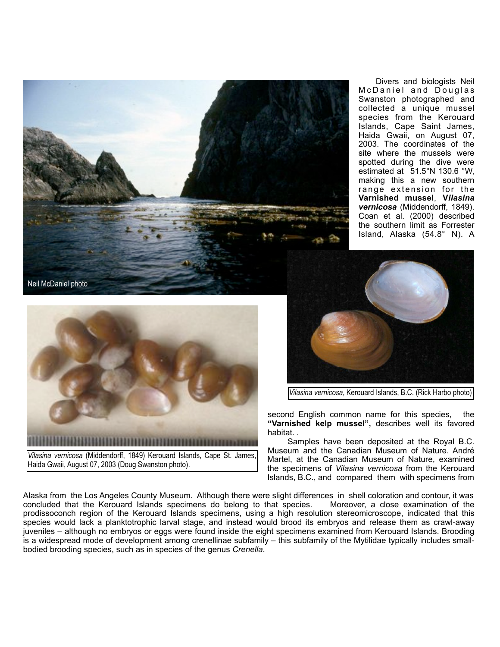

 Divers and biologists Neil McDaniel and Douglas Swanston photographed and collected a unique mussel species from the Kerouard Islands, Cape Saint James, Haida Gwaii, on August 07, 2003. The coordinates of the site where the mussels were spotted during the dive were estimated at 51.5°N 130.6 °W, making this a new southern range extension for the **Varnished mussel**, **V***ilasina vernicosa* (Middendorff, 1849). Coan et al. (2000) described the southern limit as Forrester Island, Alaska (54.8° N). A



*Vilasina vernicosa* (Middendorff, 1849) Kerouard Islands, Cape St. James, Haida Gwaii, August 07, 2003 (Doug Swanston photo).



*Vilasina vernicosa*, Kerouard Islands, B.C. (Rick Harbo photo)

second English common name for this species, the **"Varnished kelp mussel",** describes well its favored habitat. .

 Samples have been deposited at the Royal B.C. Museum and the Canadian Museum of Nature. André Martel, at the Canadian Museum of Nature, examined the specimens of *Vilasina vernicosa* from the Kerouard Islands, B.C., and compared them with specimens from

Alaska from the Los Angeles County Museum. Although there were slight differences in shell coloration and contour, it was<br>concluded that the Kerouard Islands specimens do belong to that species. Moreover, a close examinati concluded that the Kerouard Islands specimens do belong to that species. prodissoconch region of the Kerouard Islands specimens, using a high resolution stereomicroscope, indicated that this species would lack a planktotrophic larval stage, and instead would brood its embryos and release them as crawl-away juveniles – although no embryos or eggs were found inside the eight specimens examined from Kerouard Islands. Brooding is a widespread mode of development among crenellinae subfamily – this subfamily of the Mytilidae typically includes smallbodied brooding species, such as in species of the genus *Crenella*.